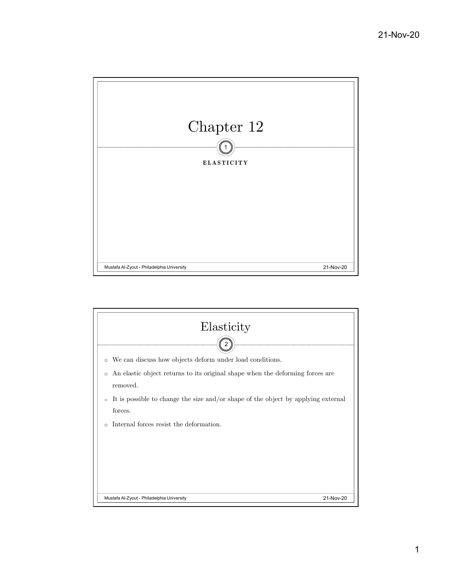

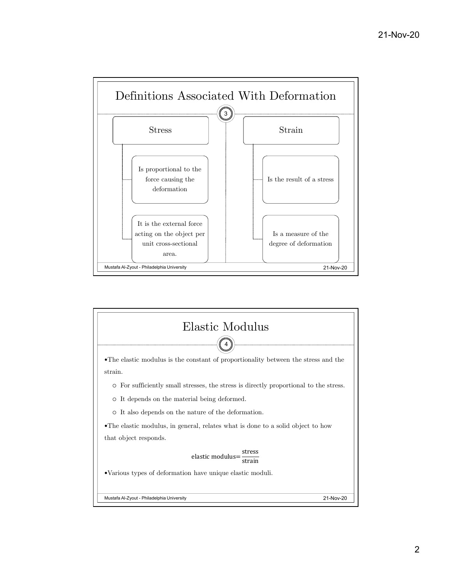

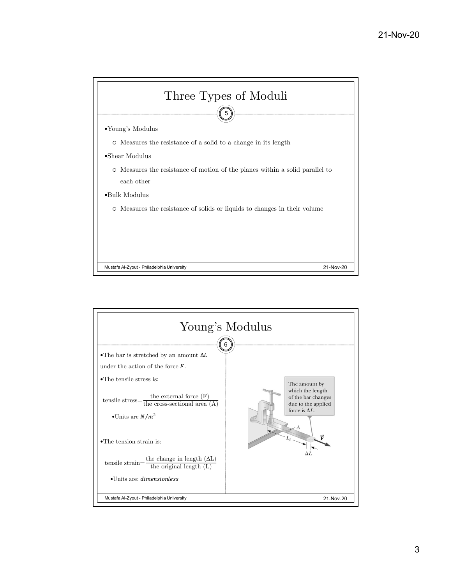

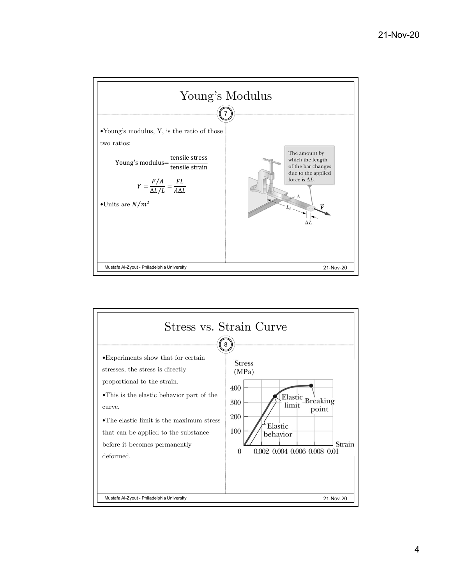

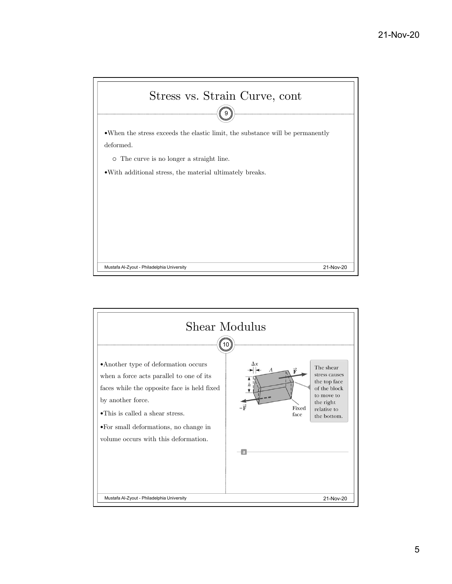

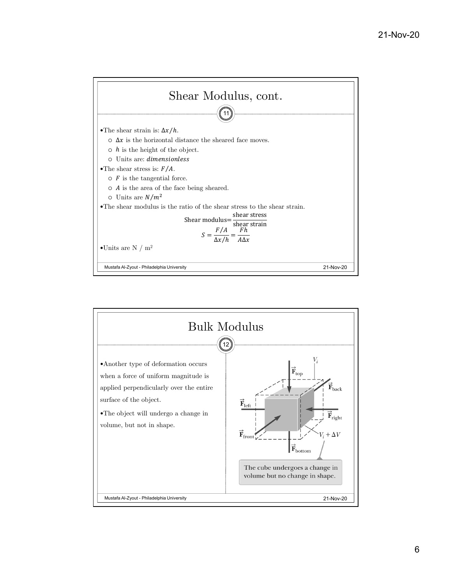

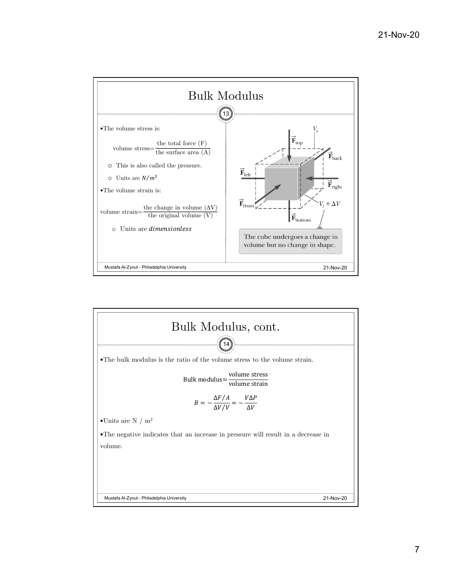